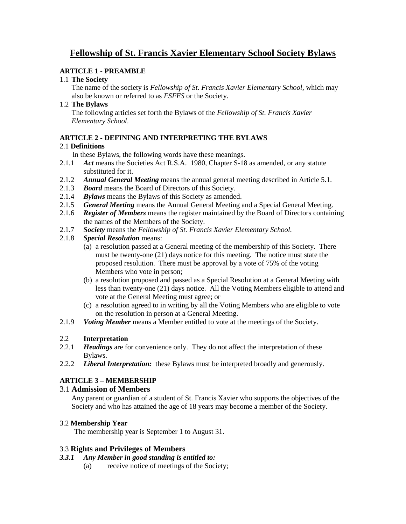# **Fellowship of St. Francis Xavier Elementary School Society Bylaws**

## **ARTICLE 1 - PREAMBLE**

#### 1.1 **The Society**

The name of the society is *Fellowship of St. Francis Xavier Elementary School*, which may also be known or referred to as *FSFES* or the Society.

#### 1.2 **The Bylaws**

The following articles set forth the Bylaws of the *Fellowship of St. Francis Xavier Elementary School*.

## **ARTICLE 2 - DEFINING AND INTERPRETING THE BYLAWS**

## 2.1 **Definitions**

In these Bylaws, the following words have these meanings.

- 2.1.1 Act means the Societies Act R.S.A. 1980, Chapter S-18 as amended, or any statute substituted for it.
- 2.1.2 *Annual General Meeting* means the annual general meeting described in Article 5.1.
- 2.1.3 *Board* means the Board of Directors of this Society.
- 2.1.4 *Bylaws* means the Bylaws of this Society as amended.
- 2.1.5 *General Meeting* means the Annual General Meeting and a Special General Meeting.
- 2.1.6 *Register of Members* means the register maintained by the Board of Directors containing the names of the Members of the Society.
- 2.1.7 *Society* means the *Fellowship of St. Francis Xavier Elementary School.*
- 2.1.8 *Special Resolution* means:
	- (a) a resolution passed at a General meeting of the membership of this Society. There must be twenty-one (21) days notice for this meeting. The notice must state the proposed resolution. There must be approval by a vote of 75% of the voting Members who vote in person;
	- (b) a resolution proposed and passed as a Special Resolution at a General Meeting with less than twenty-one (21) days notice. All the Voting Members eligible to attend and vote at the General Meeting must agree; or
	- (c) a resolution agreed to in writing by all the Voting Members who are eligible to vote on the resolution in person at a General Meeting.
- 2.1.9 *Voting Member* means a Member entitled to vote at the meetings of the Society.

## 2.2 **Interpretation**

- 2.2.1 *Headings* are for convenience only. They do not affect the interpretation of these Bylaws.
- 2.2.2 *Liberal Interpretation:* these Bylaws must be interpreted broadly and generously.

# **ARTICLE 3 – MEMBERSHIP**

## 3.1 **Admission of Members**

Any parent or guardian of a student of St. Francis Xavier who supports the objectives of the Society and who has attained the age of 18 years may become a member of the Society.

## 3.2 **Membership Year**

The membership year is September 1 to August 31.

## 3.3 **Rights and Privileges of Members**

## *3.3.1 Any Member in good standing is entitled to:*

(a) receive notice of meetings of the Society;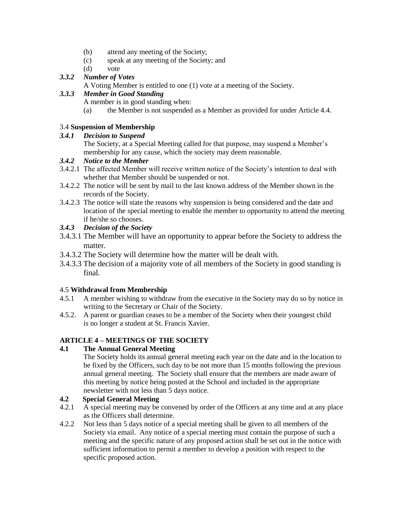- (b) attend any meeting of the Society;
- (c) speak at any meeting of the Society; and
- (d) vote

# *3.3.2 Number of Votes*

A Voting Member is entitled to one (1) vote at a meeting of the Society.

## *3.3.3 Member in Good Standing*

A member is in good standing when:

(a) the Member is not suspended as a Member as provided for under Article 4.4.

#### 3.4 **Suspension of Membership**

#### *3.4.1 Decision to Suspend*

The Society, at a Special Meeting called for that purpose, may suspend a Member's membership for any cause, which the society may deem reasonable.

## *3.4.2 Notice to the Member*

- 3.4.2.1 The affected Member will receive written notice of the Society's intention to deal with whether that Member should be suspended or not.
- 3.4.2.2 The notice will be sent by mail to the last known address of the Member shown in the records of the Society.
- 3.4.2.3 The notice will state the reasons why suspension is being considered and the date and location of the special meeting to enable the member to opportunity to attend the meeting if he/she so chooses.

## *3.4.3 Decision of the Society*

- 3.4.3.1 The Member will have an opportunity to appear before the Society to address the matter.
- 3.4.3.2 The Society will determine how the matter will be dealt with.
- 3.4.3.3 The decision of a majority vote of all members of the Society in good standing is final.

## 4.5 **Withdrawal from Membership**

- 4.5.1 A member wishing to withdraw from the executive in the Society may do so by notice in writing to the Secretary or Chair of the Society.
- 4.5.2. A parent or guardian ceases to be a member of the Society when their youngest child is no longer a student at St. Francis Xavier.

## **ARTICLE 4 – MEETINGS OF THE SOCIETY**

## **4.1 The Annual General Meeting**

The Society holds its annual general meeting each year on the date and in the location to be fixed by the Officers, such day to be not more than 15 months following the previous annual general meeting. The Society shall ensure that the members are made aware of this meeting by notice being posted at the School and included in the appropriate newsletter with not less than 5 days notice.

## **4.2 Special General Meeting**

- 4.2.1 A special meeting may be convened by order of the Officers at any time and at any place as the Officers shall determine.
- 4.2.2 Not less than 5 days notice of a special meeting shall be given to all members of the Society via email. Any notice of a special meeting must contain the purpose of such a meeting and the specific nature of any proposed action shall be set out in the notice with sufficient information to permit a member to develop a position with respect to the specific proposed action.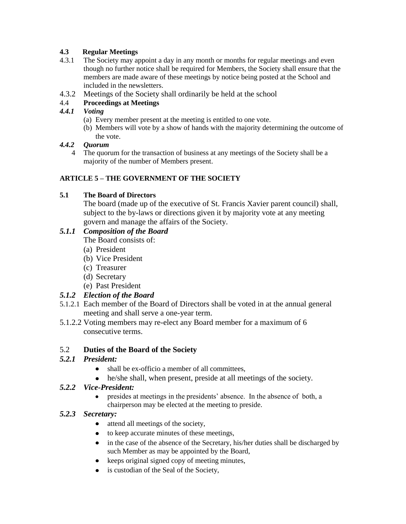## **4.3 Regular Meetings**

- 4.3.1 The Society may appoint a day in any month or months for regular meetings and even though no further notice shall be required for Members, the Society shall ensure that the members are made aware of these meetings by notice being posted at the School and included in the newsletters.
- 4.3.2 Meetings of the Society shall ordinarily be held at the school

## 4.4 **Proceedings at Meetings**

## *4.4.1 Voting*

- (a) Every member present at the meeting is entitled to one vote.
- (b) Members will vote by a show of hands with the majority determining the outcome of the vote.

## *4.4.2 Quorum*

4 The quorum for the transaction of business at any meetings of the Society shall be a majority of the number of Members present.

# **ARTICLE 5 – THE GOVERNMENT OF THE SOCIETY**

## **5.1 The Board of Directors**

The board (made up of the executive of St. Francis Xavier parent council) shall, subject to the by-laws or directions given it by majority vote at any meeting govern and manage the affairs of the Society.

# *5.1.1 Composition of the Board*

The Board consists of:

- (a) President
- (b) Vice President
- (c) Treasurer
- (d) Secretary
- (e) Past President

# *5.1.2 Election of the Board*

- 5.1.2.1 Each member of the Board of Directors shall be voted in at the annual general meeting and shall serve a one-year term.
- 5.1.2.2 Voting members may re-elect any Board member for a maximum of 6 consecutive terms.

# 5.2 **Duties of the Board of the Society**

# *5.2.1 President:*

- shall be ex-officio a member of all committees.
- he/she shall, when present, preside at all meetings of the society.

## *5.2.2 Vice-President:*

presides at meetings in the presidents' absence. In the absence of both, a chairperson may be elected at the meeting to preside.

# *5.2.3 Secretary:*

- $\bullet$ attend all meetings of the society,
- to keep accurate minutes of these meetings,
- in the case of the absence of the Secretary, his/her duties shall be discharged by such Member as may be appointed by the Board,
- keeps original signed copy of meeting minutes,
- is custodian of the Seal of the Society,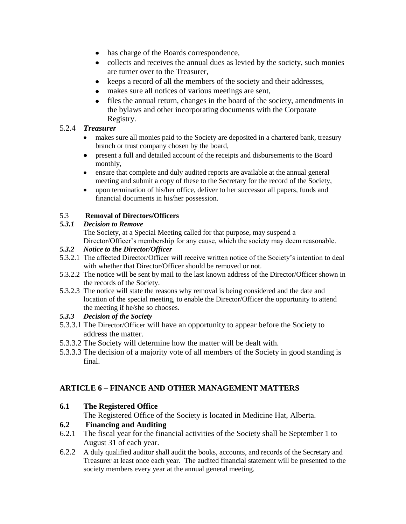- has charge of the Boards correspondence,  $\bullet$
- collects and receives the annual dues as levied by the society, such monies are turner over to the Treasurer,
- keeps a record of all the members of the society and their addresses,
- makes sure all notices of various meetings are sent,  $\bullet$
- files the annual return, changes in the board of the society, amendments in  $\bullet$ the bylaws and other incorporating documents with the Corporate Registry.

## 5.2.4 *Treasurer*

- $\bullet$ makes sure all monies paid to the Society are deposited in a chartered bank, treasury branch or trust company chosen by the board,
- present a full and detailed account of the receipts and disbursements to the Board  $\bullet$ monthly,
- ensure that complete and duly audited reports are available at the annual general  $\bullet$ meeting and submit a copy of these to the Secretary for the record of the Society,
- upon termination of his/her office, deliver to her successor all papers, funds and  $\bullet$ financial documents in his/her possession.

## 5.3 **Removal of Directors/Officers**

## *5.3.1 Decision to Remove*

The Society, at a Special Meeting called for that purpose, may suspend a Director/Officer's membership for any cause, which the society may deem reasonable.

## *5.3.2 Notice to the Director/Officer*

- 5.3.2.1 The affected Director/Officer will receive written notice of the Society's intention to deal with whether that Director/Officer should be removed or not.
- 5.3.2.2 The notice will be sent by mail to the last known address of the Director/Officer shown in the records of the Society.
- 5.3.2.3 The notice will state the reasons why removal is being considered and the date and location of the special meeting, to enable the Director/Officer the opportunity to attend the meeting if he/she so chooses.

## *5.3.3 Decision of the Society*

- 5.3.3.1 The Director/Officer will have an opportunity to appear before the Society to address the matter.
- 5.3.3.2 The Society will determine how the matter will be dealt with.
- 5.3.3.3 The decision of a majority vote of all members of the Society in good standing is final.

# **ARTICLE 6 – FINANCE AND OTHER MANAGEMENT MATTERS**

**6.1 The Registered Office**

The Registered Office of the Society is located in Medicine Hat, Alberta.

# **6.2 Financing and Auditing**

- 6.2.1 The fiscal year for the financial activities of the Society shall be September 1 to August 31 of each year.
- 6.2.2 A duly qualified auditor shall audit the books, accounts, and records of the Secretary and Treasurer at least once each year. The audited financial statement will be presented to the society members every year at the annual general meeting.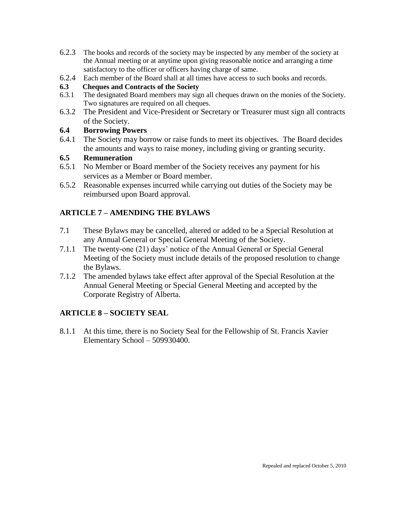- 6.2.3 The books and records of the society may be inspected by any member of the society at the Annual meeting or at anytime upon giving reasonable notice and arranging a time satisfactory to the officer or officers having charge of same.
- 6.2.4 Each member of the Board shall at all times have access to such books and records.

## **6.3 Cheques and Contracts of the Society**

- 6.3.1 The designated Board members may sign all cheques drawn on the monies of the Society. Two signatures are required on all cheques.
- 6.3.2 The President and Vice-President or Secretary or Treasurer must sign all contracts of the Society.

# **6.4 Borrowing Powers**

6.4.1 The Society may borrow or raise funds to meet its objectives. The Board decides the amounts and ways to raise money, including giving or granting security.

# **6.5 Remuneration**

- 6.5.1 No Member or Board member of the Society receives any payment for his services as a Member or Board member.
- 6.5.2 Reasonable expenses incurred while carrying out duties of the Society may be reimbursed upon Board approval.

# **ARTICLE 7 – AMENDING THE BYLAWS**

- 7.1 These Bylaws may be cancelled, altered or added to be a Special Resolution at any Annual General or Special General Meeting of the Society.
- 7.1.1 The twenty-one (21) days' notice of the Annual General or Special General Meeting of the Society must include details of the proposed resolution to change the Bylaws.
- 7.1.2 The amended bylaws take effect after approval of the Special Resolution at the Annual General Meeting or Special General Meeting and accepted by the Corporate Registry of Alberta.

# **ARTICLE 8 – SOCIETY SEAL**

8.1.1 At this time, there is no Society Seal for the Fellowship of St. Francis Xavier Elementary School – 509930400.